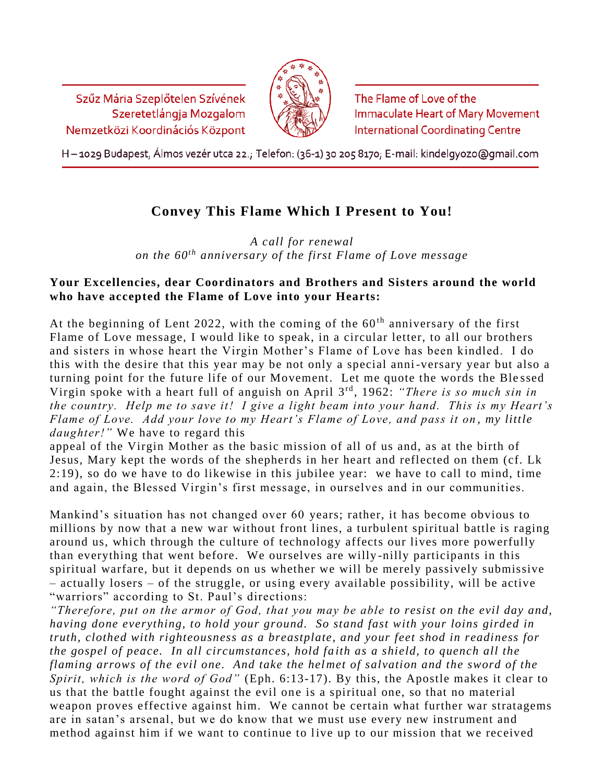Szűz Mária Szeplőtelen Szívének Szeretetlángja Mozgalom Nemzetközi Koordinációs Központ



The Flame of Love of the **Immaculate Heart of Mary Movement International Coordinating Centre** 

H - 1029 Budapest, Álmos vezér utca 22.; Telefon: (36-1) 30 205 8170; E-mail: kindelgyozo@gmail.com

## **Convey This Flame Which I Present to You!**

*A call for renewal on the 60th anniversary of the first Flame of Love message*

## **Your Excellencies, dear Coordinators and Brothers and Sisters around the world who have accepted the Flame of Love into your Hearts:**

At the beginning of Lent 2022, with the coming of the  $60<sup>th</sup>$  anniversary of the first Flame of Love message, I would like to speak, in a circular letter, to all our brothers and sisters in whose heart the Virgin Mother's Flame of Love has been kindled. I do this with the desire that this year may be not only a special anni-versary year but also a turning point for the future life of our Movement. Let me quote the words the Ble ssed Virgin spoke with a heart full of anguish on April 3 rd , 1962: *"There is so much sin in the country. Help me to save it! I give a light beam into your hand. This is my Heart's Flame of Love. Add your love to my Heart's Flame of Love, and pass it on, my little daughter!"* We have to regard this

appeal of the Virgin Mother as the basic mission of all of us and, as at the birth of Jesus, Mary kept the words of the shepherds in her heart and reflected on them (cf. Lk 2:19), so do we have to do likewise in this jubilee year: we have to call to mind, time and again, the Blessed Virgin's first message, in ourselves and in our communities.

Mankind's situation has not changed over 60 years; rather, it has become obvious to millions by now that a new war without front lines, a turbulent spiritual battle is raging around us, which through the culture of technology affects our lives more powerfully than everything that went before. We ourselves are willy -nilly participants in this spiritual warfare, but it depends on us whether we will be merely passively submissive – actually losers – of the struggle, or using every available possibility, will be active "warriors" according to St. Paul's directions:

*"Therefore, put on the armor of God, that you may be able to resist on the evil day and, having done everything, to hold your ground. So stand fast with your loins girded in truth, clothed with righteousness as a breastplate, and your feet shod in readiness for the gospel of peace. In all circumstances, hold faith as a shield, to quench all the flaming arrows of the evil one. And take the helmet of salvation and the sword of the Spirit, which is the word of God"* (Eph. 6:13-17). By this, the Apostle makes it clear to us that the battle fought against the evil one is a spiritual one, so that no material weapon proves effective against him. We cannot be certain what further war stratagems are in satan's arsenal, but we do know that we must use every new instrument and method against him if we want to continue to live up to our mission that we received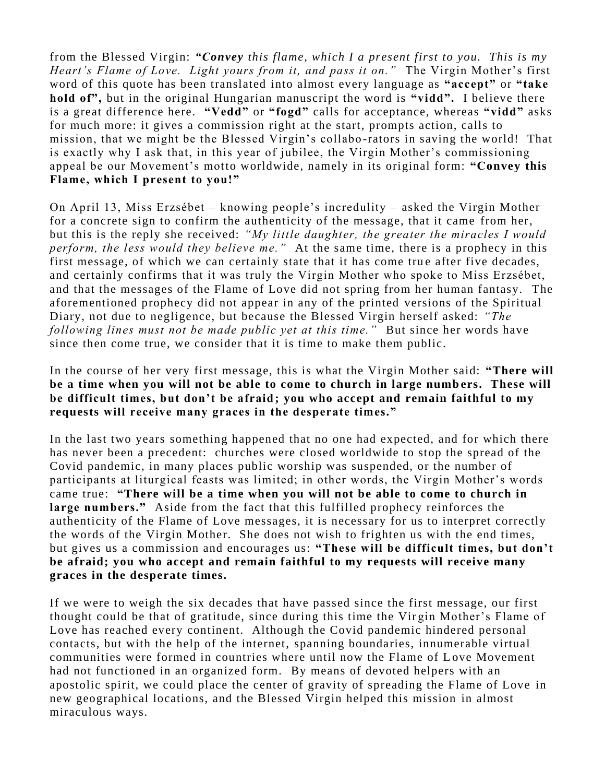from the Blessed Virgin: *"Convey this flame, which I a present first to you. This is my Heart's Flame of Love. Light yours from it, and pass it on."* The Virgin Mother's first word of this quote has been translated into almost every language as **"accept"** or **"take hold of",** but in the original Hungarian manuscript the word is **"vidd".** I believe there is a great difference here. **"Vedd"** or **"fogd"** calls for acceptance, whereas **"vidd"** asks for much more: it gives a commission right at the start, prompts action, calls to mission, that we might be the Blessed Virgin's collabo -rators in saving the world! That is exactly why I ask that, in this year of jubilee, the Virgin Mother's commissioning appeal be our Movement's motto worldwide, namely in its original form: **"Convey this Flame, which I present to you!"** 

On April 13, Miss Erzsébet – knowing people's incredulity – asked the Virgin Mother for a concrete sign to confirm the authenticity of the message, that it came from her, but this is the reply she received: *"My little daughter, the greater the miracles I would perform, the less would they believe me."* At the same time, there is a prophecy in this first message, of which we can certainly state that it has come true after five decades, and certainly confirms that it was truly the Virgin Mother who spoke to Miss Erzsébet, and that the messages of the Flame of Love did not spring from her human fantasy. The aforementioned prophecy did not appear in any of the printed versions of the Spiritual Diary, not due to negligence, but because the Blessed Virgin herself asked: *"The following lines must not be made public yet at this time."* But since her words have since then come true, we consider that it is time to make them public.

In the course of her very first message, this is what the Virgin Mother said: **"There will be a time when you will not be able to come to church in large numb ers. These will be difficult times, but don't be afraid; you who accept and remain faithful to my requests will receive many graces in the desperate times."**

In the last two years something happened that no one had expected, and for which there has never been a precedent: churches were closed worldwide to stop the spread of the Covid pandemic, in many places public worship was suspended, or the number of participants at liturgical feasts was limited; in other words, the Virgin Mother's words came true: **"There will be a time when you will not be able to come to church in large numbers."** Aside from the fact that this fulfilled prophecy reinforces the authenticity of the Flame of Love messages, it is necessary for us to interpret correctly the words of the Virgin Mother. She does not wish to frighten us with the end times, but gives us a commission and encourages us: **"These will be difficult times, but don't be afraid; you who accept and remain faithful to my requests will receive many graces in the desperate times.** 

If we were to weigh the six decades that have passed since the first message, our first thought could be that of gratitude, since during this time the Vir gin Mother's Flame of Love has reached every continent. Although the Covid pandemic hindered personal contacts, but with the help of the internet, spanning boundaries, innumerable virtual communities were formed in countries where until now the Flame of L ove Movement had not functioned in an organized form. By means of devoted helpers with an apostolic spirit, we could place the center of gravity of spreading the Flame of Love in new geographical locations, and the Blessed Virgin helped this mission in almost miraculous ways.